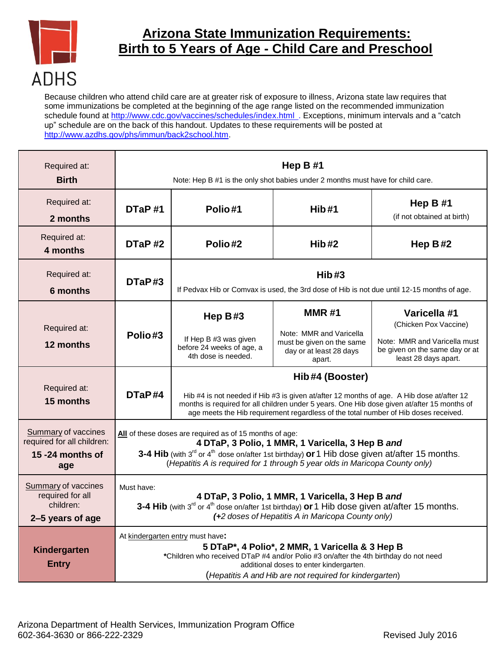

## **Arizona State Immunization Requirements: Birth to 5 Years of Age - Child Care and Preschool**

Because children who attend child care are at greater risk of exposure to illness, Arizona state law requires that some immunizations be completed at the beginning of the age range listed on the recommended immunization schedule found at [http://www.cdc.gov/vaccines/schedules/index.html .](http://www.cdc.gov/vaccines/schedules/index.html) Exceptions, minimum intervals and a "catch up" schedule are on the back of this handout. Updates to these requirements will be posted at [http://www.azdhs.gov/phs/immun/back2school.htm.](http://www.azdhs.gov/phs/immun/back2school.htm)

| Required at:<br><b>Birth</b>                                                        | Hep $B#1$<br>Note: Hep B #1 is the only shot babies under 2 months must have for child care.                                                                                                                                                                                                         |                                                                                                                                                                                                                                                                                                    |                                                                                                           |                                                                                                                                 |
|-------------------------------------------------------------------------------------|------------------------------------------------------------------------------------------------------------------------------------------------------------------------------------------------------------------------------------------------------------------------------------------------------|----------------------------------------------------------------------------------------------------------------------------------------------------------------------------------------------------------------------------------------------------------------------------------------------------|-----------------------------------------------------------------------------------------------------------|---------------------------------------------------------------------------------------------------------------------------------|
| Required at:<br>2 months                                                            | DTaP#1                                                                                                                                                                                                                                                                                               | Polio#1                                                                                                                                                                                                                                                                                            | Hib#1                                                                                                     | Hep $B#1$<br>(if not obtained at birth)                                                                                         |
| Required at:<br>4 months                                                            | DTaP#2                                                                                                                                                                                                                                                                                               | Polio#2                                                                                                                                                                                                                                                                                            | Hib#2                                                                                                     | Hep $B#2$                                                                                                                       |
| Required at:<br><b>6 months</b>                                                     | DTaP#3                                                                                                                                                                                                                                                                                               | Hib#3<br>If Pedvax Hib or Comvax is used, the 3rd dose of Hib is not due until 12-15 months of age.                                                                                                                                                                                                |                                                                                                           |                                                                                                                                 |
| Required at:<br>12 months                                                           | Polio#3                                                                                                                                                                                                                                                                                              | Hep $B#3$<br>If Hep B #3 was given<br>before 24 weeks of age, a<br>4th dose is needed.                                                                                                                                                                                                             | <b>MMR#1</b><br>Note: MMR and Varicella<br>must be given on the same<br>day or at least 28 days<br>apart. | Varicella #1<br>(Chicken Pox Vaccine)<br>Note: MMR and Varicella must<br>be given on the same day or at<br>least 28 days apart. |
| Required at:<br>15 months                                                           | DTaP#4                                                                                                                                                                                                                                                                                               | Hib#4 (Booster)<br>Hib #4 is not needed if Hib #3 is given at/after 12 months of age. A Hib dose at/after 12<br>months is required for all children under 5 years. One Hib dose given at/after 15 months of<br>age meets the Hib requirement regardless of the total number of Hib doses received. |                                                                                                           |                                                                                                                                 |
| <b>Summary of vaccines</b><br>required for all children:<br>15 -24 months of<br>age | All of these doses are required as of 15 months of age:<br>4 DTaP, 3 Polio, 1 MMR, 1 Varicella, 3 Hep B and<br>3-4 Hib (with $3^{rd}$ or $4^{th}$ dose on/after 1st birthday) or 1 Hib dose given at/after 15 months.<br>(Hepatitis A is required for 1 through 5 year olds in Maricopa County only) |                                                                                                                                                                                                                                                                                                    |                                                                                                           |                                                                                                                                 |
| Summary of vaccines<br>required for all<br>children:<br>2-5 years of age            | Must have:<br>4 DTaP, 3 Polio, 1 MMR, 1 Varicella, 3 Hep B and<br>3-4 Hib (with $3^{rd}$ or $4^{th}$ dose on/after 1st birthday) or 1 Hib dose given at/after 15 months.<br>(+2 doses of Hepatitis A in Maricopa County only)                                                                        |                                                                                                                                                                                                                                                                                                    |                                                                                                           |                                                                                                                                 |
| Kindergarten<br><b>Entry</b>                                                        | At kindergarten entry must have:<br>5 DTaP*, 4 Polio*, 2 MMR, 1 Varicella & 3 Hep B<br>*Children who received DTaP #4 and/or Polio #3 on/after the 4th birthday do not need<br>additional doses to enter kindergarten.<br>(Hepatitis A and Hib are not required for kindergarten)                    |                                                                                                                                                                                                                                                                                                    |                                                                                                           |                                                                                                                                 |